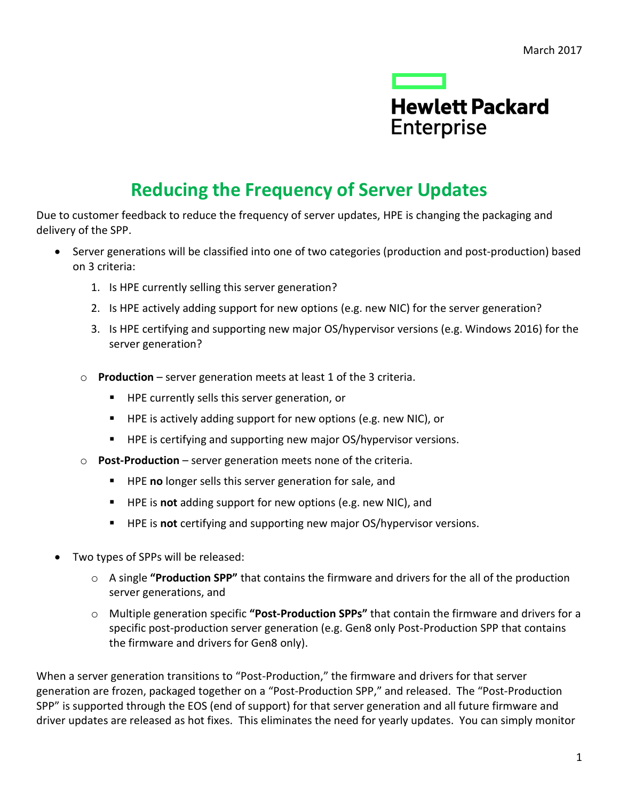

# **Reducing the Frequency of Server Updates**

Due to customer feedback to reduce the frequency of server updates, HPE is changing the packaging and delivery of the SPP.

- Server generations will be classified into one of two categories (production and post-production) based on 3 criteria:
	- 1. Is HPE currently selling this server generation?
	- 2. Is HPE actively adding support for new options (e.g. new NIC) for the server generation?
	- 3. Is HPE certifying and supporting new major OS/hypervisor versions (e.g. Windows 2016) for the server generation?
	- o **Production** server generation meets at least 1 of the 3 criteria.
		- **HPE currently sells this server generation, or**
		- $\blacksquare$  HPE is actively adding support for new options (e.g. new NIC), or
		- **HPE is certifying and supporting new major OS/hypervisor versions.**
	- o **Post-Production** server generation meets none of the criteria.
		- **HPE no** longer sells this server generation for sale, and
		- HPE is **not** adding support for new options (e.g. new NIC), and
		- HPE is **not** certifying and supporting new major OS/hypervisor versions.
- Two types of SPPs will be released:
	- o A single **"Production SPP"** that contains the firmware and drivers for the all of the production server generations, and
	- o Multiple generation specific **"Post-Production SPPs"** that contain the firmware and drivers for a specific post-production server generation (e.g. Gen8 only Post-Production SPP that contains the firmware and drivers for Gen8 only).

When a server generation transitions to "Post-Production," the firmware and drivers for that server generation are frozen, packaged together on a "Post-Production SPP," and released. The "Post-Production SPP" is supported through the EOS (end of support) for that server generation and all future firmware and driver updates are released as hot fixes. This eliminates the need for yearly updates. You can simply monitor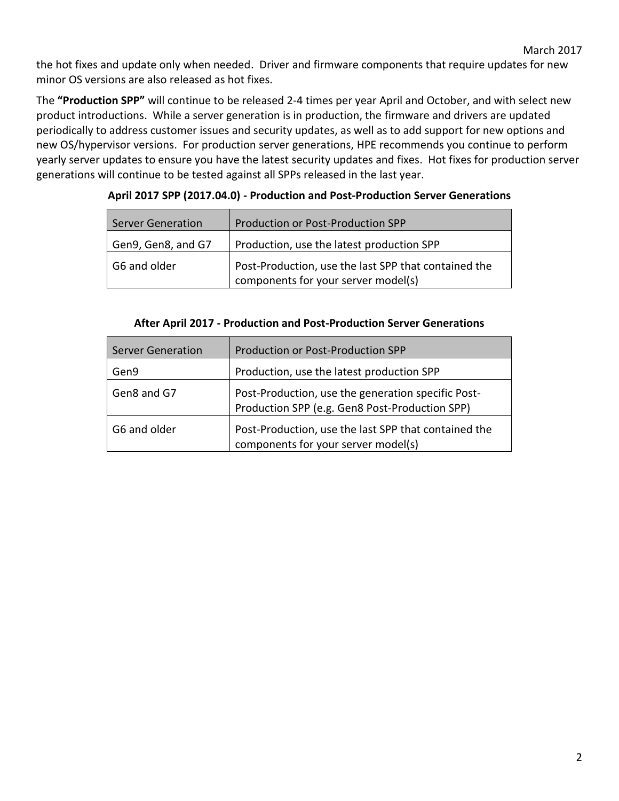the hot fixes and update only when needed. Driver and firmware components that require updates for new minor OS versions are also released as hot fixes.

The **"Production SPP"** will continue to be released 2-4 times per year April and October, and with select new product introductions. While a server generation is in production, the firmware and drivers are updated periodically to address customer issues and security updates, as well as to add support for new options and new OS/hypervisor versions. For production server generations, HPE recommends you continue to perform yearly server updates to ensure you have the latest security updates and fixes. Hot fixes for production server generations will continue to be tested against all SPPs released in the last year.

| <b>Server Generation</b> | Production or Post-Production SPP                                                           |
|--------------------------|---------------------------------------------------------------------------------------------|
| Gen9, Gen8, and G7       | Production, use the latest production SPP                                                   |
| G6 and older             | Post-Production, use the last SPP that contained the<br>components for your server model(s) |

**April 2017 SPP (2017.04.0) - Production and Post-Production Server Generations**

| After April 2017 - Production and Post-Production Server Generations |  |  |
|----------------------------------------------------------------------|--|--|
|                                                                      |  |  |

| <b>Server Generation</b> | Production or Post-Production SPP                                                                    |
|--------------------------|------------------------------------------------------------------------------------------------------|
| Gen9                     | Production, use the latest production SPP                                                            |
| Gen8 and G7              | Post-Production, use the generation specific Post-<br>Production SPP (e.g. Gen8 Post-Production SPP) |
| G6 and older             | Post-Production, use the last SPP that contained the<br>components for your server model(s)          |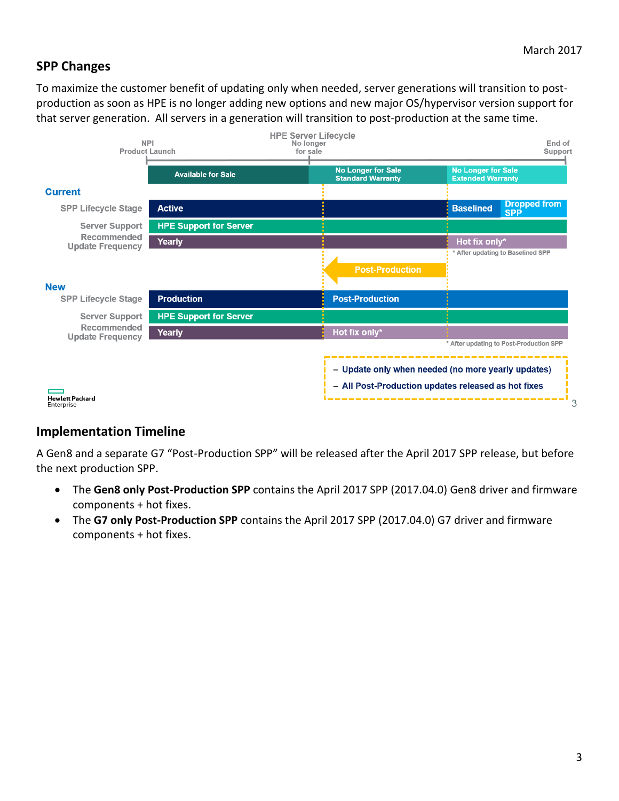# **SPP Changes**

To maximize the customer benefit of updating only when needed, server generations will transition to postproduction as soon as HPE is no longer adding new options and new major OS/hypervisor version support for that server generation. All servers in a generation will transition to post-production at the same time.



## **Implementation Timeline**

A Gen8 and a separate G7 "Post-Production SPP" will be released after the April 2017 SPP release, but before the next production SPP.

- The **Gen8 only Post-Production SPP** contains the April 2017 SPP (2017.04.0) Gen8 driver and firmware components + hot fixes.
- The **G7 only Post-Production SPP** contains the April 2017 SPP (2017.04.0) G7 driver and firmware components + hot fixes.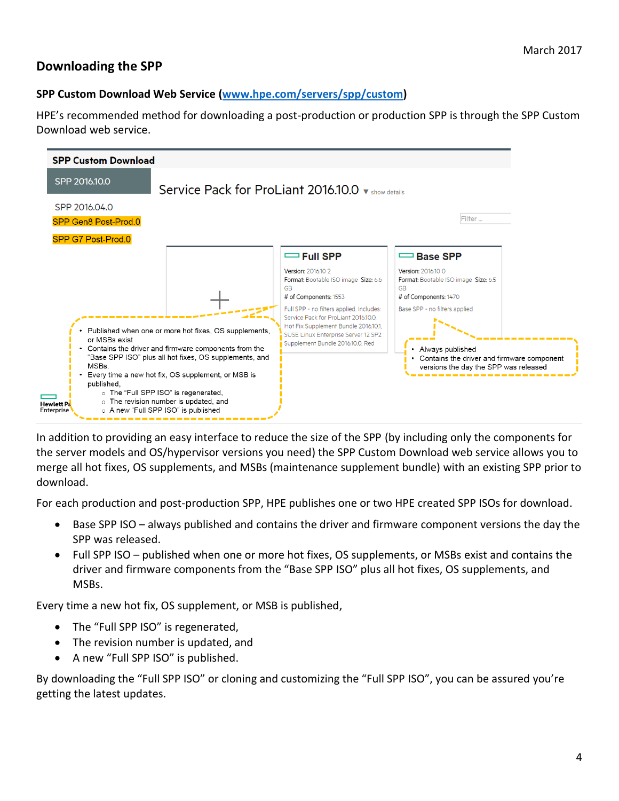# **Downloading the SPP**

## **SPP Custom Download Web Service [\(www.hpe.com/servers/spp/custom\)](http://www.hpe.com/servers/spp/custom)**

HPE's recommended method for downloading a post-production or production SPP is through the SPP Custom Download web service.



In addition to providing an easy interface to reduce the size of the SPP (by including only the components for the server models and OS/hypervisor versions you need) the SPP Custom Download web service allows you to merge all hot fixes, OS supplements, and MSBs (maintenance supplement bundle) with an existing SPP prior to download.

For each production and post-production SPP, HPE publishes one or two HPE created SPP ISOs for download.

- Base SPP ISO always published and contains the driver and firmware component versions the day the SPP was released.
- Full SPP ISO published when one or more hot fixes, OS supplements, or MSBs exist and contains the driver and firmware components from the "Base SPP ISO" plus all hot fixes, OS supplements, and MSBs.

Every time a new hot fix, OS supplement, or MSB is published,

- The "Full SPP ISO" is regenerated,
- The revision number is updated, and
- A new "Full SPP ISO" is published.

By downloading the "Full SPP ISO" or cloning and customizing the "Full SPP ISO", you can be assured you're getting the latest updates.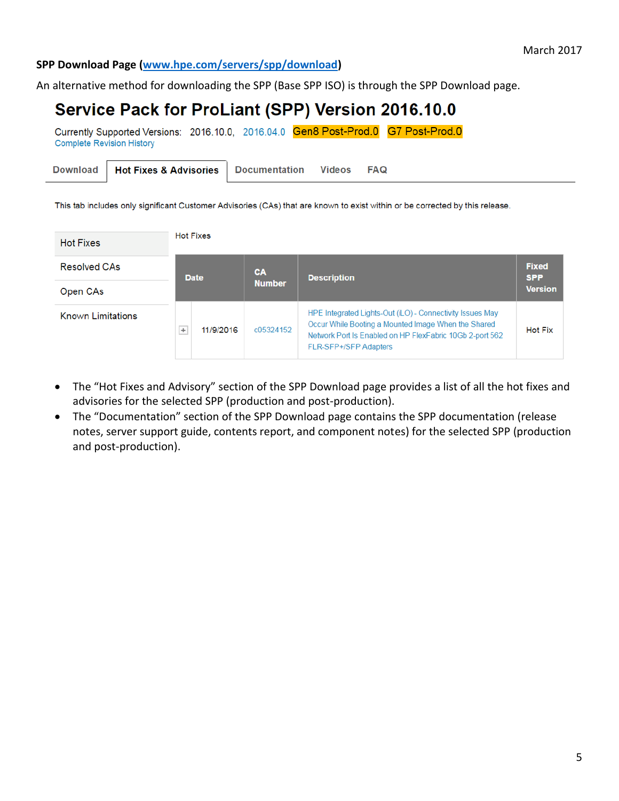## **SPP Download Page [\(www.hpe.com/servers/spp/download\)](http://www.hpe.com/servers/spp/download)**

An alternative method for downloading the SPP (Base SPP ISO) is through the SPP Download page.

# Service Pack for ProLiant (SPP) Version 2016.10.0

Currently Supported Versions: 2016.10.0, 2016.04.0 Gen8 Post-Prod.0 G7 Post-Prod.0 **Complete Revision History** 

|  |  | Download   Hot Fixes & Advisories   Documentation Videos FAQ |  |  |
|--|--|--------------------------------------------------------------|--|--|
|--|--|--------------------------------------------------------------|--|--|

This tab includes only significant Customer Advisories (CAs) that are known to exist within or be corrected by this release.

| <b>Hot Fixes</b>         | <b>Hot Fixes</b>        |               |                                                                                                                                                                                                              |                            |
|--------------------------|-------------------------|---------------|--------------------------------------------------------------------------------------------------------------------------------------------------------------------------------------------------------------|----------------------------|
| <b>Resolved CAs</b>      | <b>Date</b>             | <b>CA</b>     | <b>Description</b>                                                                                                                                                                                           | <b>Fixed</b><br><b>SPP</b> |
| Open CAs                 |                         | <b>Number</b> |                                                                                                                                                                                                              | <b>Version</b>             |
| <b>Known Limitations</b> | 11/9/2016<br>$^{\rm +}$ | c05324152     | HPE Integrated Lights-Out (iLO) - Connectivity Issues May<br>Occur While Booting a Mounted Image When the Shared<br>Network Port Is Enabled on HP FlexFabric 10Gb 2-port 562<br><b>FLR-SFP+/SFP Adapters</b> | <b>Hot Fix</b>             |

- The "Hot Fixes and Advisory" section of the SPP Download page provides a list of all the hot fixes and advisories for the selected SPP (production and post-production).
- The "Documentation" section of the SPP Download page contains the SPP documentation (release notes, server support guide, contents report, and component notes) for the selected SPP (production and post-production).